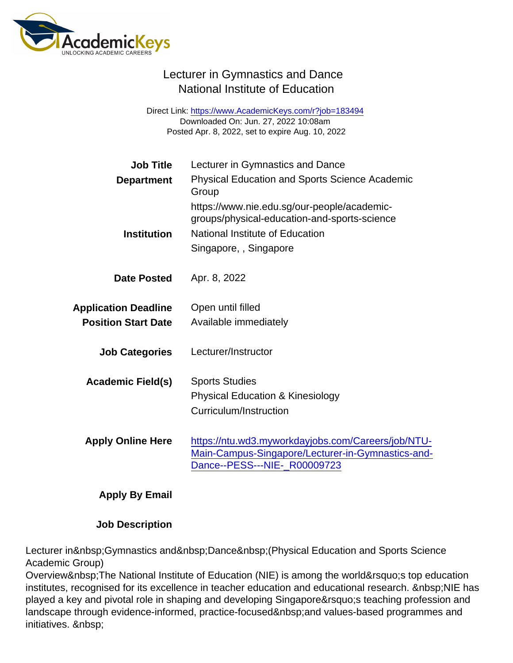## Lecturer in Gymnastics and Dance National Institute of Education

Direct Link: <https://www.AcademicKeys.com/r?job=183494> Downloaded On: Jun. 27, 2022 10:08am Posted Apr. 8, 2022, set to expire Aug. 10, 2022

| <b>Job Title</b>            | Lecturer in Gymnastics and Dance                                                                        |
|-----------------------------|---------------------------------------------------------------------------------------------------------|
| Department                  | <b>Physical Education and Sports Science Academic</b><br>Group                                          |
|                             | https://www.nie.edu.sg/our-people/academic-<br>groups/physical-education-and-sports-science             |
| Institution                 | National Institute of Education                                                                         |
|                             | Singapore, , Singapore                                                                                  |
| Date Posted                 | Apr. 8, 2022                                                                                            |
| <b>Application Deadline</b> | Open until filled                                                                                       |
| <b>Position Start Date</b>  | Available immediately                                                                                   |
| <b>Job Categories</b>       | Lecturer/Instructor                                                                                     |
| Academic Field(s)           | <b>Sports Studies</b>                                                                                   |
|                             | <b>Physical Education &amp; Kinesiology</b>                                                             |
|                             | Curriculum/Instruction                                                                                  |
| <b>Apply Online Here</b>    | https://ntu.wd3.myworkdayjobs.com/Careers/job/NTU-<br>Main-Campus-Singapore/Lecturer-in-Gymnastics-and- |
|                             | Dance--PESS---NIE-_R00009723                                                                            |
|                             |                                                                                                         |

Apply By Email

Job Description

Lecturer in Gymnastics and Dance (Physical Education and Sports Science Academic Group)

Overview & nbsp; The National Institute of Education (NIE) is among the world & rsquo; s top education institutes, recognised for its excellence in teacher education and educational research. NIE has played a key and pivotal role in shaping and developing Singapore's teaching profession and landscape through evidence-informed, practice-focused and values-based programmes and initiatives. &nbsp: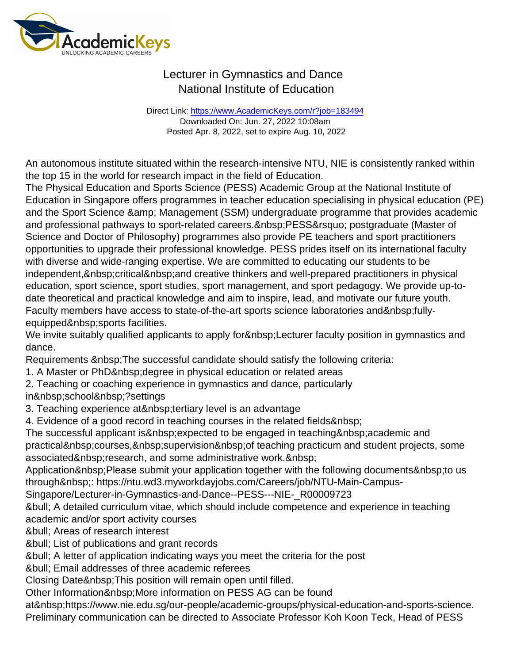## Lecturer in Gymnastics and Dance National Institute of Education

Direct Link: <https://www.AcademicKeys.com/r?job=183494> Downloaded On: Jun. 27, 2022 10:08am Posted Apr. 8, 2022, set to expire Aug. 10, 2022

An autonomous institute situated within the research-intensive NTU, NIE is consistently ranked within the top 15 in the world for research impact in the field of Education.

The Physical Education and Sports Science (PESS) Academic Group at the National Institute of Education in Singapore offers programmes in teacher education specialising in physical education (PE) and the Sport Science & amp; Management (SSM) undergraduate programme that provides academic and professional pathways to sport-related careers. PESS' postgraduate (Master of Science and Doctor of Philosophy) programmes also provide PE teachers and sport practitioners opportunities to upgrade their professional knowledge. PESS prides itself on its international faculty with diverse and wide-ranging expertise. We are committed to educating our students to be independent, critical and creative thinkers and well-prepared practitioners in physical education, sport science, sport studies, sport management, and sport pedagogy. We provide up-todate theoretical and practical knowledge and aim to inspire, lead, and motivate our future youth. Faculty members have access to state-of-the-art sports science laboratories and fullyequipped sports facilities.

We invite suitably qualified applicants to apply for Lecturer faculty position in gymnastics and dance.

Requirements & nbsp; The successful candidate should satisfy the following criteria:

- 1. A Master or PhD degree in physical education or related areas
- 2. Teaching or coaching experience in gymnastics and dance, particularly

in school ?settings

- 3. Teaching experience at tertiary level is an advantage
- 4. Evidence of a good record in teaching courses in the related fields

The successful applicant is expected to be engaged in teaching academic and practical courses, supervision of teaching practicum and student projects, some

associated research, and some administrative work.

Application Please submit your application together with the following documents to us through : https://ntu.wd3.myworkdayjobs.com/Careers/job/NTU-Main-Campus-

Singapore/Lecturer-in-Gymnastics-and-Dance--PESS---NIE-\_R00009723

• A detailed curriculum vitae, which should include competence and experience in teaching academic and/or sport activity courses

• Areas of research interest

& bull; List of publications and grant records

• A letter of application indicating ways you meet the criteria for the post

• Email addresses of three academic referees

Closing Date This position will remain open until filled.

Other Information More information on PESS AG can be found

at https://www.nie.edu.sg/our-people/academic-groups/physical-education-and-sports-science. Preliminary communication can be directed to Associate Professor Koh Koon Teck, Head of PESS